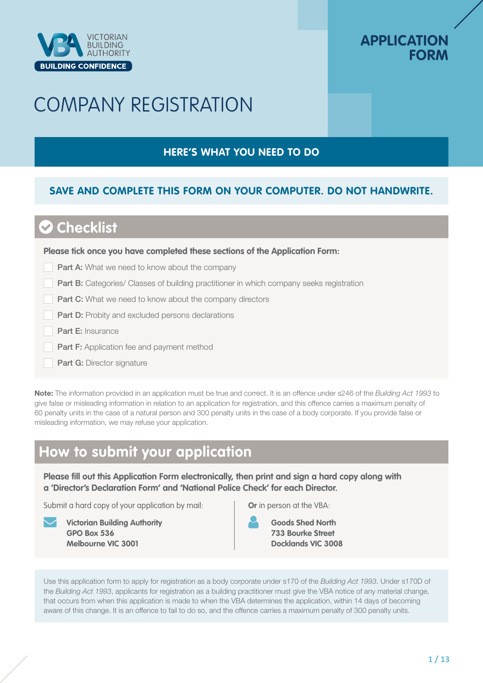

## **APPLICATION FORM**

# COMPANY REGISTRATION

## **HERE'S WHAT YOU NEED TO DO**

## **SAVE AND COMPLETE THIS FORM ON YOUR COMPUTER. DO NOT HANDWRITE.**

# **Checklist**

#### **Please tick once you have completed these sections of the Application Form:**

- Part A: What we need to know about the company
- **Part B:** Categories/ Classes of building practitioner in which company seeks registration
- Part C: What we need to know about the company directors
- Part D: Probity and excluded persons declarations
- Part F<sup>:</sup> Insurance
- Part F: Application fee and payment method
- Part G: Director signature

Note: The information provided in an application must be true and correct. It is an offence under s246 of the *Building Act 1993* to give false or misleading information in relation to an application for registration, and this offence carries a maximum penalty of 60 penalty units in the case of a natural person and 300 penalty units in the case of a body corporate. If you provide false or misleading information, we may refuse your application.

# **How to submit your application**

**Please fill out this Application Form electronically, then print and sign a hard copy along with a 'Director's Declaration Form' and 'National Police Check' for each Director.**

Submit a hard copy of your application by mail:

| <b>Victorian Building Authority</b> |
|-------------------------------------|
| GPO Box 536                         |
| <b>Melbourne VIC 3001</b>           |

**Or** in person at the VBA:

 **Goods Shed North 733 Bourke Street Docklands VIC 3008**

Use this application form to apply for registration as a body corporate under s170 of the *Building Act 1993*. Under s170D of the *Building Act 1993*, applicants for registration as a building practitioner must give the VBA notice of any material change, that occurs from when this application is made to when the VBA determines the application, within 14 days of becoming aware of this change. It is an offence to fail to do so, and the offence carries a maximum penalty of 300 penalty units.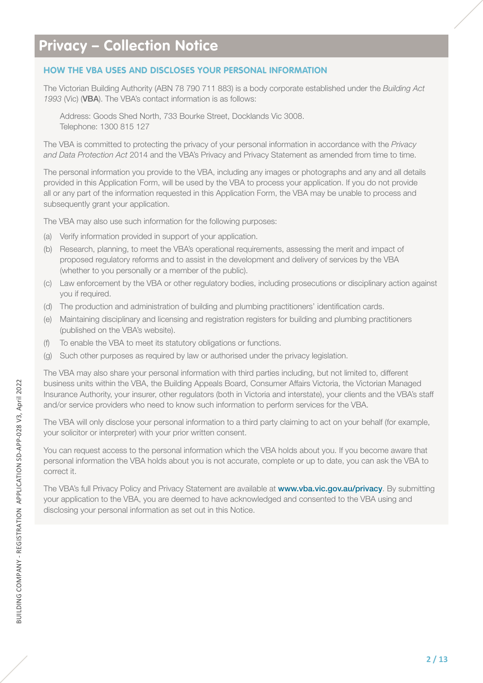# **Privacy – Collection Notice**

### **HOW THE VBA USES AND DISCLOSES YOUR PERSONAL INFORMATION**

The Victorian Building Authority (ABN 78 790 711 883) is a body corporate established under the *Building Act 1993* (Vic) (VBA). The VBA's contact information is as follows:

Address: Goods Shed North, 733 Bourke Street, Docklands Vic 3008. Telephone: 1300 815 127

The VBA is committed to protecting the privacy of your personal information in accordance with the *Privacy and Data Protection Act* 2014 and the VBA's Privacy and Privacy Statement as amended from time to time.

The personal information you provide to the VBA, including any images or photographs and any and all details provided in this Application Form, will be used by the VBA to process your application. If you do not provide all or any part of the information requested in this Application Form, the VBA may be unable to process and subsequently grant your application.

The VBA may also use such information for the following purposes:

- (a) Verify information provided in support of your application.
- (b) Research, planning, to meet the VBA's operational requirements, assessing the merit and impact of proposed regulatory reforms and to assist in the development and delivery of services by the VBA (whether to you personally or a member of the public).
- (c) Law enforcement by the VBA or other regulatory bodies, including prosecutions or disciplinary action against you if required.
- (d) The production and administration of building and plumbing practitioners' identification cards.
- (e) Maintaining disciplinary and licensing and registration registers for building and plumbing practitioners (published on the VBA's website).
- (f) To enable the VBA to meet its statutory obligations or functions.
- (g) Such other purposes as required by law or authorised under the privacy legislation.

The VBA may also share your personal information with third parties including, but not limited to, different business units within the VBA, the Building Appeals Board, Consumer Affairs Victoria, the Victorian Managed Insurance Authority, your insurer, other regulators (both in Victoria and interstate), your clients and the VBA's staff and/or service providers who need to know such information to perform services for the VBA.

The VBA will only disclose your personal information to a third party claiming to act on your behalf (for example, your solicitor or interpreter) with your prior written consent.

You can request access to the personal information which the VBA holds about you. If you become aware that personal information the VBA holds about you is not accurate, complete or up to date, you can ask the VBA to correct it.

The VBA's full Privacy Policy and Privacy Statement are available at **www.vba.vic.gov.au/privacy**. By submitting your application to the VBA, you are deemed to have acknowledged and consented to the VBA using and disclosing your personal information as set out in this Notice.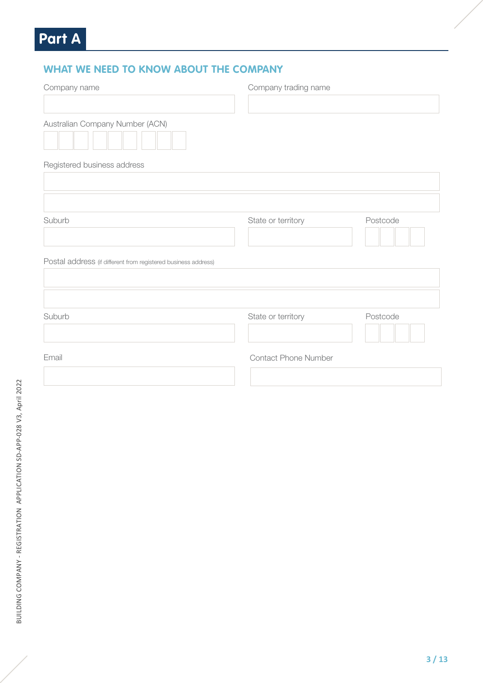## **WHAT WE NEED TO KNOW ABOUT THE COMPANY**

| Company name                                                   | Company trading name        |          |
|----------------------------------------------------------------|-----------------------------|----------|
| Australian Company Number (ACN)                                |                             |          |
| Registered business address                                    |                             |          |
|                                                                |                             |          |
| Suburb                                                         | State or territory          | Postcode |
| Postal address (if different from registered business address) |                             |          |
|                                                                |                             |          |
| Suburb                                                         | State or territory          | Postcode |
| Email                                                          | <b>Contact Phone Number</b> |          |
|                                                                |                             |          |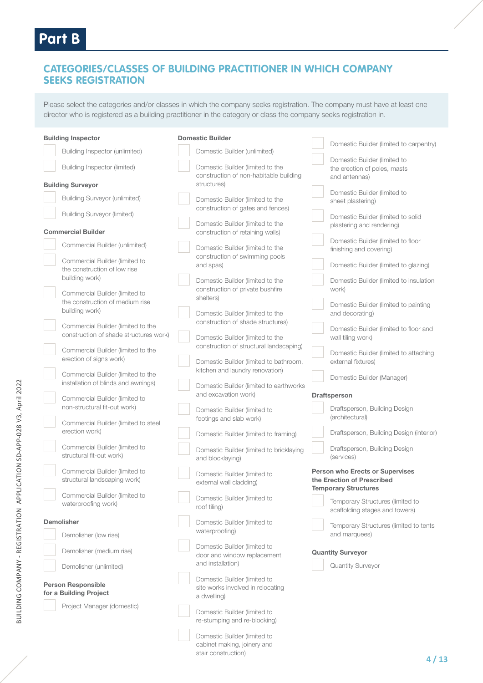# **Part B**

## **CATEGORIES/CLASSES OF BUILDING PRACTITIONER IN WHICH COMPANY SEEKS REGISTRATION**

Please select the categories and/or classes in which the company seeks registration. The company must have at least one director who is registered as a building practitioner in the category or class the company seeks registration in.

| <b>Building Inspector</b>                                                    | <b>Domestic Builder</b>                                                           | Domestic Builder (limited to carpentry)                                                             |
|------------------------------------------------------------------------------|-----------------------------------------------------------------------------------|-----------------------------------------------------------------------------------------------------|
| Building Inspector (unlimited)                                               | Domestic Builder (unlimited)                                                      |                                                                                                     |
| Building Inspector (limited)                                                 | Domestic Builder (limited to the<br>construction of non-habitable building        | Domestic Builder (limited to<br>the erection of poles, masts<br>and antennas)                       |
| <b>Building Surveyor</b>                                                     | structures)                                                                       |                                                                                                     |
| <b>Building Surveyor (unlimited)</b>                                         | Domestic Builder (limited to the<br>construction of gates and fences)             | Domestic Builder (limited to<br>sheet plastering)                                                   |
| <b>Building Surveyor (limited)</b>                                           | Domestic Builder (limited to the                                                  | Domestic Builder (limited to solid<br>plastering and rendering)                                     |
| <b>Commercial Builder</b>                                                    | construction of retaining walls)                                                  | Domestic Builder (limited to floor                                                                  |
| Commercial Builder (unlimited)                                               | Domestic Builder (limited to the<br>construction of swimming pools                | finishing and covering)                                                                             |
| Commercial Builder (limited to<br>the construction of low rise               | and spas)                                                                         | Domestic Builder (limited to glazing)                                                               |
| building work)<br>Commercial Builder (limited to                             | Domestic Builder (limited to the<br>construction of private bushfire              | Domestic Builder (limited to insulation<br>work)                                                    |
| the construction of medium rise<br>building work)                            | shelters)<br>Domestic Builder (limited to the                                     | Domestic Builder (limited to painting<br>and decorating)                                            |
| Commercial Builder (limited to the<br>construction of shade structures work) | construction of shade structures)<br>Domestic Builder (limited to the             | Domestic Builder (limited to floor and<br>wall tiling work)                                         |
| Commercial Builder (limited to the<br>erection of signs work)                | construction of structural landscaping)<br>Domestic Builder (limited to bathroom, | Domestic Builder (limited to attaching<br>external fixtures)                                        |
| Commercial Builder (limited to the<br>installation of blinds and awnings)    | kitchen and laundry renovation)<br>Domestic Builder (limited to earthworks        | Domestic Builder (Manager)                                                                          |
| Commercial Builder (limited to                                               | and excavation work)                                                              | <b>Draftsperson</b>                                                                                 |
| non-structural fit-out work)                                                 | Domestic Builder (limited to<br>footings and slab work)                           | Draftsperson, Building Design<br>(architectural)                                                    |
| Commercial Builder (limited to steel<br>erection work)                       | Domestic Builder (limited to framing)                                             | Draftsperson, Building Design (interior)                                                            |
| Commercial Builder (limited to<br>structural fit-out work)                   | Domestic Builder (limited to bricklaying<br>and blocklaying)                      | Draftsperson, Building Design<br>(services)                                                         |
| Commercial Builder (limited to<br>structural landscaping work)               | Domestic Builder (limited to<br>external wall cladding)                           | <b>Person who Erects or Supervises</b><br>the Erection of Prescribed<br><b>Temporary Structures</b> |
| Commercial Builder (limited to<br>waterproofing work)                        | Domestic Builder (limited to<br>roof tiling)                                      | Temporary Structures (limited to<br>scaffolding stages and towers)                                  |
| <b>Demolisher</b><br>Demolisher (low rise)                                   |                                                                                   |                                                                                                     |
|                                                                              | Domestic Builder (limited to<br>waterproofing)                                    | Temporary Structures (limited to tents<br>and marquees)                                             |
| Demolisher (medium rise)                                                     | Domestic Builder (limited to                                                      | <b>Quantity Surveyor</b>                                                                            |
| Demolisher (unlimited)                                                       | door and window replacement<br>and installation)                                  | <b>Quantity Surveyor</b>                                                                            |
| <b>Person Responsible</b><br>for a Building Project                          | Domestic Builder (limited to<br>site works involved in relocating<br>a dwelling)  |                                                                                                     |
| Project Manager (domestic)                                                   | Domestic Builder (limited to<br>re-stumping and re-blocking)                      |                                                                                                     |

cabinet making, joinery and stair construction)

**4 / 13**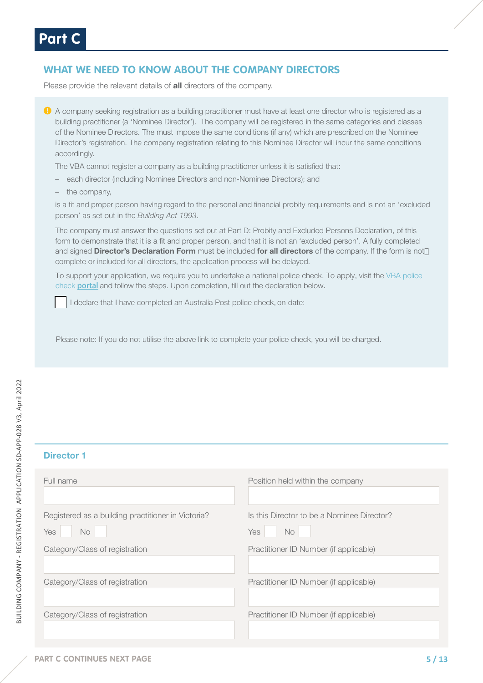## **WHAT WE NEED TO KNOW ABOUT THE COMPANY DIRECTORS**

Please provide the relevant details of **all** directors of the company.

 A company seeking registration as a building practitioner must have at least one director who is registered as a building practitioner (a 'Nominee Director'). The company will be registered in the same categories and classes of the Nominee Directors. The must impose the same conditions (if any) which are prescribed on the Nominee Director's registration. The company registration relating to this Nominee Director will incur the same conditions accordingly.

The VBA cannot register a company as a building practitioner unless it is satisfied that:

- each director (including Nominee Directors and non-Nominee Directors); and
- the company,

is a fit and proper person having regard to the personal and financial probity requirements and is not an 'excluded person' as set out in the *Building Act 1993*.

The company must answer the questions set out at Part D: Probity and Excluded Persons Declaration, of this form to demonstrate that it is a fit and proper person, and that it is not an 'excluded person'. A fully completed and signed [Director's Declaration Form](https://www.vba.vic.gov.au/__data/assets/pdf_file/0008/98144/Company-Registration-Directors-Declaration.pdf) must be included for all dire**c**tors of the company. If the form is not complete or included for all directors, the application process will be delayed.

To support your application, we require you to undertake a national police check. To apply, visit the VBA police check [portal](https://wfv.identityservice.auspost.com.au/wfvselfinvite/org?ref=60425900) and follow the steps. Upon completion, fill out the declaration below.

I declare that I have completed an Australia Post police check, on date:

Please note: If you do not utilise the above link to complete your police check, you will be charged.

#### Director 1

| Full name                                                        | Position held within the company                         |
|------------------------------------------------------------------|----------------------------------------------------------|
| Registered as a building practitioner in Victoria?<br>Yes<br>No. | Is this Director to be a Nominee Director?<br>Yes<br>No. |
| Category/Class of registration                                   | Practitioner ID Number (if applicable)                   |
| Category/Class of registration                                   | Practitioner ID Number (if applicable)                   |
| Category/Class of registration                                   | Practitioner ID Number (if applicable)                   |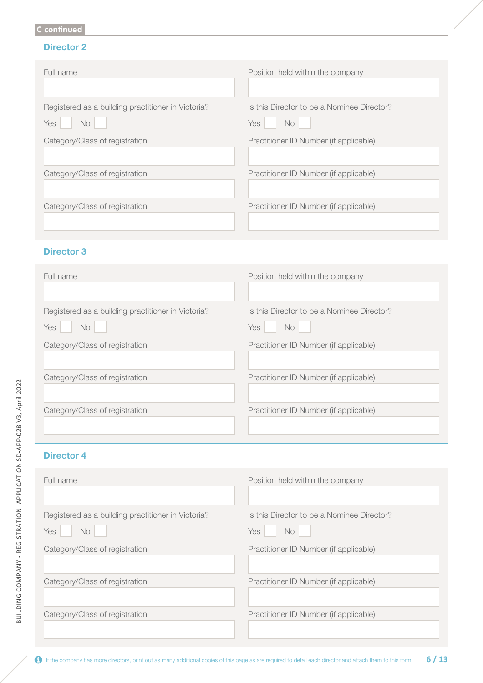## **C continued**

#### Director 2

| Full name                                                              | Position held within the company                        |
|------------------------------------------------------------------------|---------------------------------------------------------|
| Registered as a building practitioner in Victoria?<br>Yes<br><b>No</b> | Is this Director to be a Nominee Director?<br>Yes<br>No |
| Category/Class of registration                                         | Practitioner ID Number (if applicable)                  |
| Category/Class of registration                                         | Practitioner ID Number (if applicable)                  |
| Category/Class of registration                                         | Practitioner ID Number (if applicable)                  |

### Director 3

| Full name                                                               | Position held within the company                        |
|-------------------------------------------------------------------------|---------------------------------------------------------|
| Registered as a building practitioner in Victoria?<br>No.<br><b>Yes</b> | Is this Director to be a Nominee Director?<br>No<br>Yes |
| Category/Class of registration                                          | Practitioner ID Number (if applicable)                  |
| Category/Class of registration                                          | Practitioner ID Number (if applicable)                  |
| Category/Class of registration                                          | Practitioner ID Number (if applicable)                  |

### Director 4

| Full name                                                       | Position held within the company                                |
|-----------------------------------------------------------------|-----------------------------------------------------------------|
| Registered as a building practitioner in Victoria?<br>Yes<br>No | Is this Director to be a Nominee Director?<br><b>Yes</b><br>No. |
| Category/Class of registration                                  | Practitioner ID Number (if applicable)                          |
| Category/Class of registration                                  | Practitioner ID Number (if applicable)                          |
| Category/Class of registration                                  | Practitioner ID Number (if applicable)                          |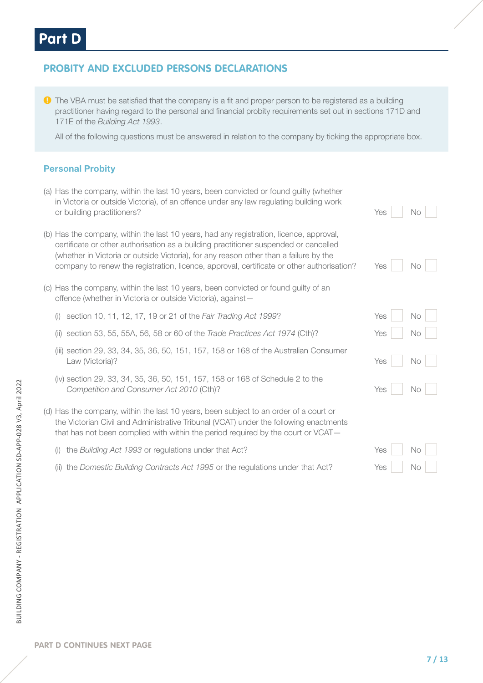## **PROBITY AND EXCLUDED PERSONS DECLARATIONS**

**O** The VBA must be satisfied that the company is a fit and proper person to be registered as a building practitioner having regard to the personal and financial probity requirements set out in sections 171D and 171E of the *Building Act 1993*.

All of the following questions must be answered in relation to the company by ticking the appropriate box.

### Personal Probity

- (a) Has the company, within the last 10 years, been convicted or found guilty (whether in Victoria or outside Victoria), of an offence under any law regulating building work or building practitioners? No was a set of the set of the set of the set of the set of the set of the set of the set of the set of the set of the set of the set of the set of the set of the set of the set of the set of the
- (b) Has the company, within the last 10 years, had any registration, licence, approval, certificate or other authorisation as a building practitioner suspended or cancelled (whether in Victoria or outside Victoria), for any reason other than a failure by the company to renew the registration, licence, approval, certificate or other authorisation? Yes No
- (c) Has the company, within the last 10 years, been convicted or found guilty of an offence (whether in Victoria or outside Victoria), against—
	- (i) section 10, 11, 12, 17, 19 or 21 of the *Fair Trading Act 1999*? Yes  $\vert$  No
	- (ii) section 53, 55, 55A, 56, 58 or 60 of the *Trade Practices Act 1974* (Cth)? Yes  $\vert$  No
	- (iii) section 29, 33, 34, 35, 36, 50, 151, 157, 158 or 168 of the Australian Consumer Law (Victoria)? Xes No. 2012. No. 2013. No. 2014. No. 2014. No. 2014. No. 2014. No. 2014. No. 2014. No. 2014. No
	- (iv) section 29, 33, 34, 35, 36, 50, 151, 157, 158 or 168 of Schedule 2 to the **Competition and Consumer Act 2010 (Cth)?** The Notation Consumer Act 2010 **(Cth)?** The Notation Consumer Act 2010 **(Cth)?** The Notation Consumer Act 2010 **(Cth)?** The Notation Consumer Act 2010 **(Cth)?** The Notation Consum
- (d) Has the company, within the last 10 years, been subject to an order of a court or the Victorian Civil and Administrative Tribunal (VCAT) under the following enactments that has not been complied with within the period required by the court or VCAT—
	- (i) the *Building Act 1993* or regulations under that Act? Yes Yes No.
	- (ii) the *Domestic Building Contracts Act 1995* or the regulations under that Act? Yes No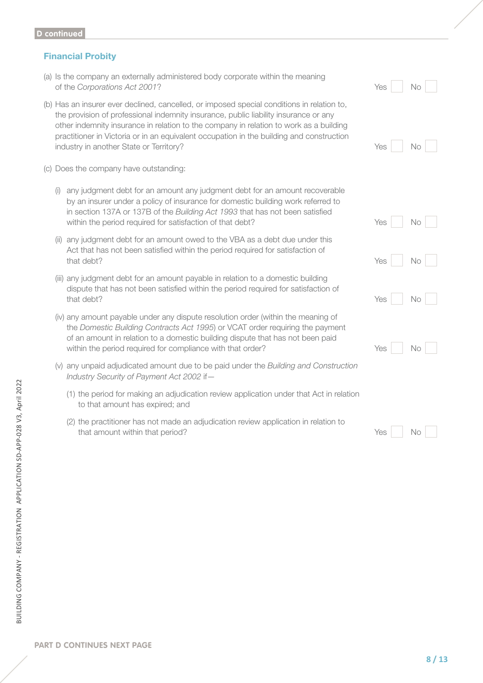#### Financial Probity

- (a) Is the company an externally administered body corporate within the meaning of the *Corporations Act 2001*?
- (b) Has an insurer ever declined, cancelled, or imposed special conditions in relation the provision of professional indemnity insurance, public liability insurance other indemnity insurance in relation to the company in relation to work as practitioner in Victoria or in an equivalent occupation in the building and co industry in another State or Territory?
- (c) Does the company have outstanding:
	- (i) any judgment debt for an amount any judgment debt for an amount recover by an insurer under a policy of insurance for domestic building work ref in section 137A or 137B of the *Building Act 1993* that has not been sat within the period required for satisfaction of that debt?
	- (ii) any judgment debt for an amount owed to the VBA as a debt due under Act that has not been satisfied within the period required for satisfaction that debt? Yes No website that the state of the state of the state of the state of the state of the state of the state of the state of the state of the state of the state of the state of the state of the state of the state
	- (iii) any judgment debt for an amount payable in relation to a domestic build dispute that has not been satisfied within the period required for satisfaction that debt? Yes No Note that the state of the state of the state of the state of the state of the state of the state of the state of the state of the state of the state of the state of the state of the state of the state of
	- (iv) any amount payable under any dispute resolution order (within the mea the *Domestic Building Contracts Act 1995*) or VCAT order requiring the of an amount in relation to a domestic building dispute that has not been within the period required for compliance with that order?
	- (v) any unpaid adjudicated amount due to be paid under the *Building and Industry Security of Payment Act 2002* if—
		- (1) the period for making an adjudication review application under that  $\lambda$ to that amount has expired; and
		- $(2)$  the practitioner has not made an adjudication review application in  $r$ that amount within that period?

| elation to,                            | 1G2 | $ $ IVO                     |
|----------------------------------------|-----|-----------------------------|
| or any<br>a building<br>nstruction     | Yes | No                          |
| coverable<br>erred to<br><i>isfied</i> |     |                             |
|                                        | Yes | No                          |
| er this<br>n of                        | Yes | $\overline{\phantom{a}}$ No |
| ding<br>ction of                       | Yes | $\overline{\phantom{a}}$ No |
| ning of<br>payment<br>en paid          | Yes | <b>No</b>                   |
| Construction                           |     |                             |
| Act in relation                        |     |                             |
| elation to                             | Yes | No                          |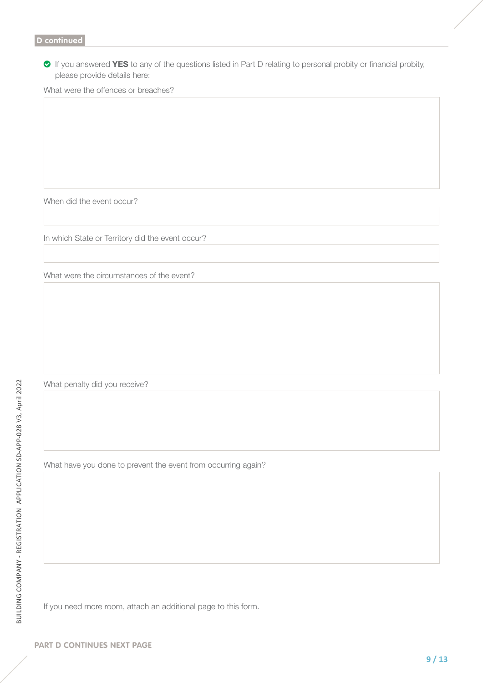If you answered YES to any of the questions listed in Part D relating to personal probity or financial probity, please provide details here:

What were the offences or breaches?

When did the event occur?

In which State or Territory did the event occur?

What were the circumstances of the event?

What penalty did you receive?

What have you done to prevent the event from occurring again?

If you need more room, attach an additional page to this form.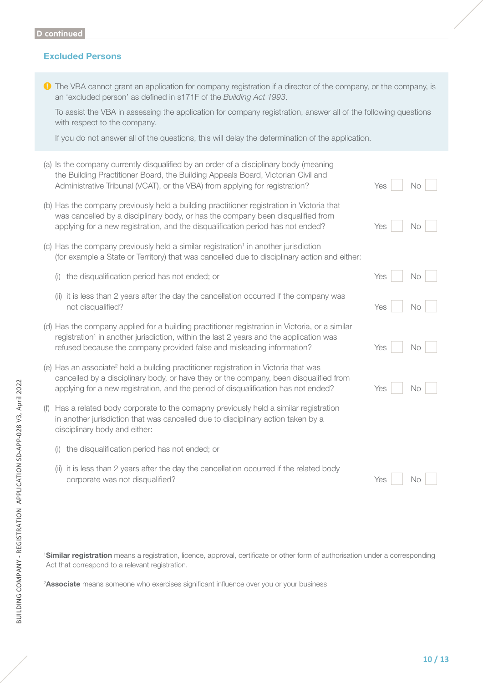#### Excluded Persons

 $\bullet$  The VBA cannot grant an application for company registration if a director of the company, or the company, is an 'excluded person' as defined in s171F of the *Building Act 1993*.

To assist the VBA in assessing the application for company registration, answer all of the following questions with respect to the company.

If you do not answer all of the questions, this will delay the determination of the application.

|     | (a) Is the company currently disqualified by an order of a disciplinary body (meaning<br>the Building Practitioner Board, the Building Appeals Board, Victorian Civil and<br>Administrative Tribunal (VCAT), or the VBA) from applying for registration?                        | Yes | <b>No</b> |
|-----|---------------------------------------------------------------------------------------------------------------------------------------------------------------------------------------------------------------------------------------------------------------------------------|-----|-----------|
|     | (b) Has the company previously held a building practitioner registration in Victoria that<br>was cancelled by a disciplinary body, or has the company been disqualified from<br>applying for a new registration, and the disqualification period has not ended?                 | Yes | No.       |
|     | (c) Has the company previously held a similar registration <sup>1</sup> in another jurisdiction<br>(for example a State or Territory) that was cancelled due to disciplinary action and either:                                                                                 |     |           |
|     | the disqualification period has not ended; or<br>(i)                                                                                                                                                                                                                            | Yes | No.       |
|     | it is less than 2 years after the day the cancellation occurred if the company was<br>(ii)<br>not disqualified?                                                                                                                                                                 | Yes | No        |
|     | (d) Has the company applied for a building practitioner registration in Victoria, or a similar<br>registration <sup>1</sup> in another jurisdiction, within the last 2 years and the application was<br>refused because the company provided false and misleading information?  | Yes | <b>No</b> |
|     | (e) Has an associate <sup>2</sup> held a building practitioner registration in Victoria that was<br>cancelled by a disciplinary body, or have they or the company, been disqualified from<br>applying for a new registration, and the period of disqualification has not ended? | Yes | No.       |
| (f) | Has a related body corporate to the comapny previously held a similar registration<br>in another jurisdiction that was cancelled due to disciplinary action taken by a<br>disciplinary body and either:                                                                         |     |           |
|     | the disqualification period has not ended; or<br>(i)                                                                                                                                                                                                                            |     |           |
|     | it is less than 2 years after the day the cancellation occurred if the related body<br>(ii)<br>corporate was not disqualified?                                                                                                                                                  | Yes | Nc        |

**Similar registration** means a registration, licence, approval, certificate or other form of authorisation under a corresponding Act that correspond to a relevant registration.

<sup>2</sup>Associate means someone who exercises significant influence over you or your business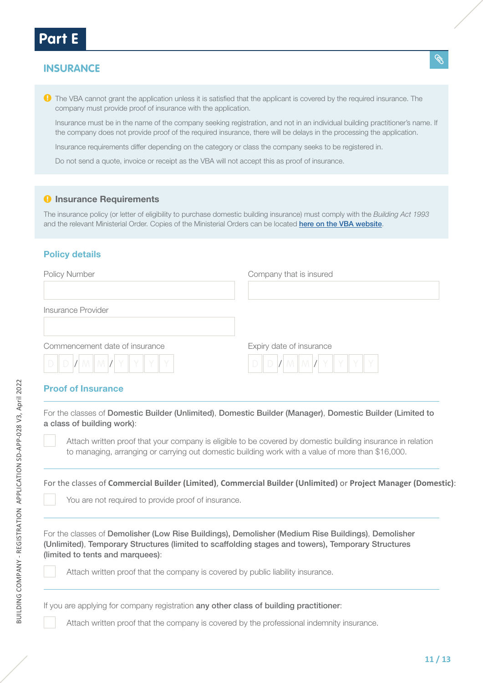## **INSURANCE**

**The VBA cannot grant the application unless it is satisfied that the applicant is covered by the required insurance. The** company must provide proof of insurance with the application.

Insurance must be in the name of the company seeking registration, and not in an individual building practitioner's name. If the company does not provide proof of the required insurance, there will be delays in the processing the application.

Insurance requirements differ depending on the category or class the company seeks to be registered in.

Do not send a quote, invoice or receipt as the VBA will not accept this as proof of insurance.

#### **O** Insurance Requirements

The insurance policy (or letter of eligibility to purchase domestic building insurance) must comply with the *Building Act 1993* and the relevant Ministerial Order. Copies of the Ministerial Orders can be located [here on the VBA website](http://www.vba.vic.gov.au/practitioners/legislation/ministerial-orders).

### Policy details

| <b>Policy Number</b>                                                           | Company that is insured                                              |
|--------------------------------------------------------------------------------|----------------------------------------------------------------------|
|                                                                                |                                                                      |
| <b>Insurance Provider</b>                                                      |                                                                      |
| Commencement date of insurance<br>$D \  D   / M   M   /   Y   Y   Y   Y   Y  $ | Expiry date of insurance<br>$D \  D   / M \  M   / Y \  Y \  Y \  Y$ |

#### Proof of Insurance

For the classes of Domestic Builder (Unlimited), Domestic Builder (Manager), Domestic Builder (Limited to a class of building work):

Attach written proof that your company is eligible to be covered by domestic building insurance in relation to managing, arranging or carrying out domestic building work with a value of more than \$16,000.

For the classes of **Commercial Builder (Limited)**, **Commercial Builder (Unlimited)** or **Project Manager (Domestic)**:

You are not required to provide proof of insurance.

For the classes of Demolisher (Low Rise Buildings), Demolisher (Medium Rise Buildings), Demolisher (Unlimited), Temporary Structures (limited to scaffolding stages and towers), Temporary Structures (limited to tents and marquees):

Attach written proof that the company is covered by public liability insurance.

If you are applying for company registration any other class of building practitioner:

Attach written proof that the company is covered by the professional indemnity insurance.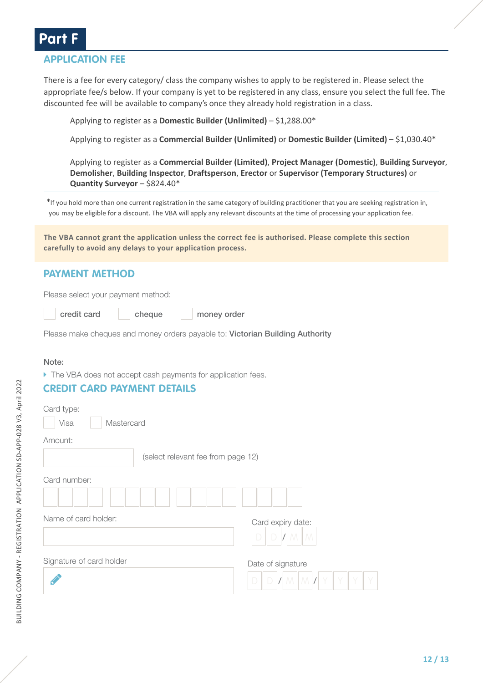## **Part F**

## **APPLICATION FEE**

There is a fee for every category/ class the company wishes to apply to be registered in. Please select the appropriate fee/s below. If your company is yet to be registered in any class, ensure you select the full fee. The discounted fee will be available to company's once they already hold registration in a class.

Applying to register as a **Domestic Builder (Unlimited)** – \$1,288.00\*

Applying to register as a **Commercial Builder (Unlimited)** or **Domestic Builder (Limited)** – \$1,030.40\*

Applying to register as a **Commercial Builder (Limited)**, **Project Manager (Domestic)**, **Building Surveyor**, **Demolisher**, **Building Inspector**, **Draftsperson**, **Erector** or **Supervisor (Temporary Structures)** or **Quantity Surveyor** – \$824.40\*

\*If you hold more than one current registration in the same category of building practitioner that you are seeking registration in, you may be eligible for a discount. The VBA will apply any relevant discounts at the time of processing your application fee.

**The VBA cannot grant the application unless the correct fee is authorised. Please complete this section carefully to avoid any delays to your application process.**

## **PAYMENT METHOD**

Please select your payment method:

credit card cheque money order

Please make cheques and money orders payable to: Victorian Building Authority

#### Note:

 $\triangleright$  The VBA does not accept cash payments for application fees.

## **CREDIT CARD PAYMENT DETAILS**

| Card type:                         |                   |
|------------------------------------|-------------------|
| Visa<br>Mastercard                 |                   |
| Amount:                            |                   |
| (select relevant fee from page 12) |                   |
| Card number:                       |                   |
|                                    |                   |
| Name of card holder:               | Card expiry date: |
|                                    | $\Box$<br>$\Box$  |
| Signature of card holder           | Date of signature |
|                                    | M                 |